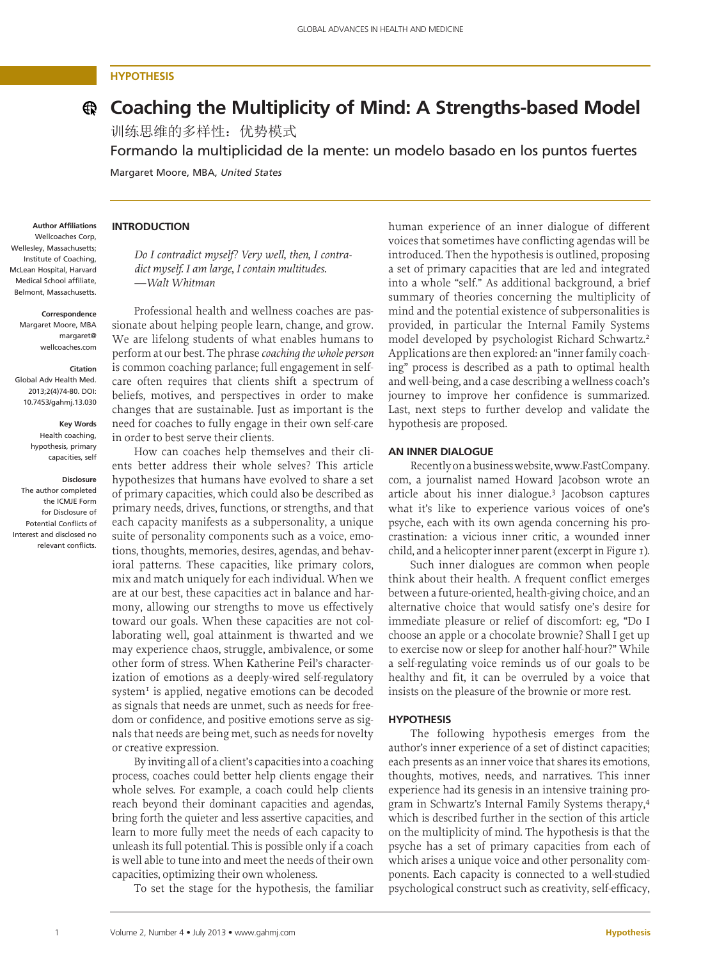# **Hypothesis**

# **Coaching the Multiplicity of Mind: A Strengths-based Model**

训练思维的多样性:优势模式

Formando la multiplicidad de la mente: un modelo basado en los puntos fuertes

Margaret Moore, MBA, *United States* 

#### **Author Affiliations** Wellcoaches Corp, Wellesley, Massachusetts; Institute of Coaching, McLean Hospital, Harvard Medical School affiliate, Belmont, Massachusetts.

**Correspondence**

Margaret Moore, MBA margaret@ wellcoaches.com

#### **Citation**

Global Adv Health Med. 2013;2(4)74-80. DOI: 10.7453/gahmj.13.030

> **Key Words** Health coaching, hypothesis, primary capacities, self

# **Disclosure**

The author completed the ICMJE Form for Disclosure of Potential Conflicts of Interest and disclosed no relevant conflicts.

## **Introduction**

*Do I contradict myself? Very well, then, I contradict myself. I am large, I contain multitudes. —Walt Whitman*

Professional health and wellness coaches are passionate about helping people learn, change, and grow. We are lifelong students of what enables humans to perform at our best. The phrase *coaching the whole person* is common coaching parlance; full engagement in selfcare often requires that clients shift a spectrum of beliefs, motives, and perspectives in order to make changes that are sustainable. Just as important is the need for coaches to fully engage in their own self-care in order to best serve their clients.

How can coaches help themselves and their clients better address their whole selves? This article hypothesizes that humans have evolved to share a set of primary capacities, which could also be described as primary needs, drives, functions, or strengths, and that each capacity manifests as a subpersonality, a unique suite of personality components such as a voice, emotions, thoughts, memories, desires, agendas, and behavioral patterns. These capacities, like primary colors, mix and match uniquely for each individual. When we are at our best, these capacities act in balance and harmony, allowing our strengths to move us effectively toward our goals. When these capacities are not collaborating well, goal attainment is thwarted and we may experience chaos, struggle, ambivalence, or some other form of stress. When Katherine Peil's characterization of emotions as a deeply-wired self-regulatory system<sup>1</sup> is applied, negative emotions can be decoded as signals that needs are unmet, such as needs for freedom or confidence, and positive emotions serve as signals that needs are being met, such as needs for novelty or creative expression.

By inviting all of a client's capacities into a coaching process, coaches could better help clients engage their whole selves. For example, a coach could help clients reach beyond their dominant capacities and agendas, bring forth the quieter and less assertive capacities, and learn to more fully meet the needs of each capacity to unleash its full potential. This is possible only if a coach is well able to tune into and meet the needs of their own capacities, optimizing their own wholeness.

To set the stage for the hypothesis, the familiar

human experience of an inner dialogue of different voices that sometimes have conflicting agendas will be introduced. Then the hypothesis is outlined, proposing a set of primary capacities that are led and integrated into a whole "self." As additional background, a brief summary of theories concerning the multiplicity of mind and the potential existence of subpersonalities is provided, in particular the Internal Family Systems model developed by psychologist Richard Schwartz.2 Applications are then explored: an "inner family coaching" process is described as a path to optimal health and well-being, and a case describing a wellness coach's journey to improve her confidence is summarized. Last, next steps to further develop and validate the hypothesis are proposed.

## **An Inner Dialogue**

Recently on a business website, www.FastCompany. com, a journalist named Howard Jacobson wrote an article about his inner dialogue.3 Jacobson captures what it's like to experience various voices of one's psyche, each with its own agenda concerning his procrastination: a vicious inner critic, a wounded inner child, and a helicopter inner parent (excerpt in Figure 1).

Such inner dialogues are common when people think about their health. A frequent conflict emerges between a future-oriented, health-giving choice, and an alternative choice that would satisfy one's desire for immediate pleasure or relief of discomfort: eg, "Do I choose an apple or a chocolate brownie? Shall I get up to exercise now or sleep for another half-hour?" While a self-regulating voice reminds us of our goals to be healthy and fit, it can be overruled by a voice that insists on the pleasure of the brownie or more rest.

### **Hypothesis**

The following hypothesis emerges from the author's inner experience of a set of distinct capacities; each presents as an inner voice that shares its emotions, thoughts, motives, needs, and narratives. This inner experience had its genesis in an intensive training program in Schwartz's Internal Family Systems therapy,4 which is described further in the section of this article on the multiplicity of mind. The hypothesis is that the psyche has a set of primary capacities from each of which arises a unique voice and other personality components. Each capacity is connected to a well-studied psychological construct such as creativity, self-efficacy,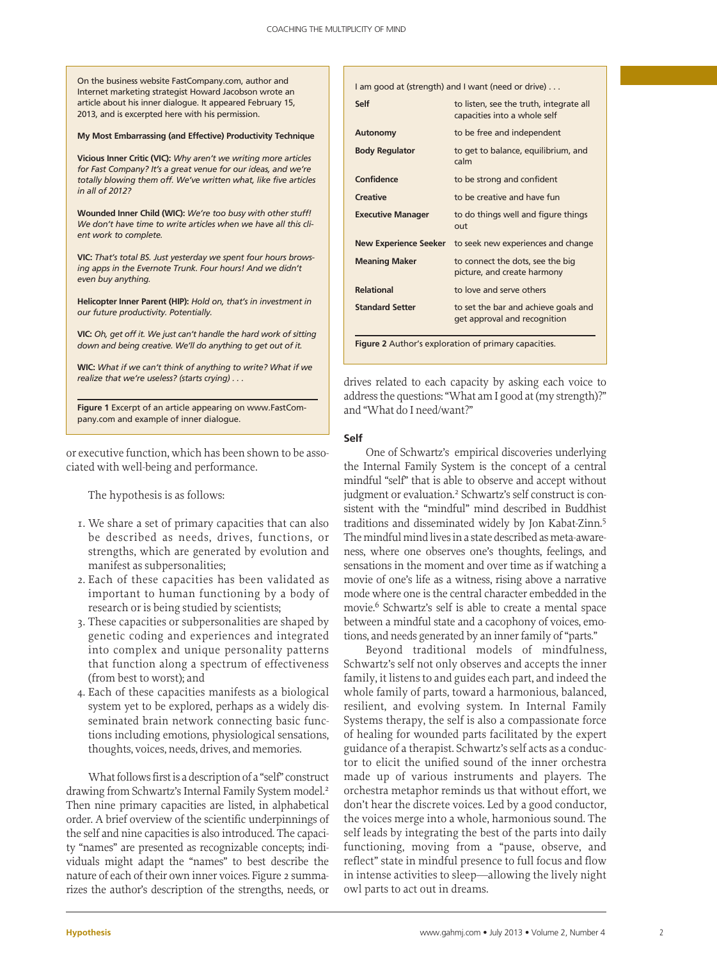On the business website FastCompany.com, author and Internet marketing strategist Howard Jacobson wrote an article about his inner dialogue. It appeared February 15, 2013, and is excerpted here with his permission.

#### **My Most Embarrassing (and Effective) Productivity Technique**

**Vicious Inner Critic (VIC):** *Why aren't we writing more articles for Fast Company? It's a great venue for our ideas, and we're totally blowing them off. We've written what, like five articles in all of 2012?*

**Wounded Inner Child (WIC):** *We're too busy with other stuff! We don't have time to write articles when we have all this client work to complete.*

**VIC:** *That's total BS. Just yesterday we spent four hours browsing apps in the Evernote Trunk. Four hours! And we didn't even buy anything.*

**Helicopter Inner Parent (HIP):** *Hold on, that's in investment in our future productivity. Potentially.*

**VIC:** *Oh, get off it. We just can't handle the hard work of sitting down and being creative. We'll do anything to get out of it.*

**WIC:** *What if we can't think of anything to write? What if we realize that we're useless? (starts crying) . . .*

**Figure 1** Excerpt of an article appearing on www.FastCompany.com and example of inner dialogue.

or executive function, which has been shown to be associated with well-being and performance.

The hypothesis is as follows:

- 1. We share a set of primary capacities that can also be described as needs, drives, functions, or strengths, which are generated by evolution and manifest as subpersonalities;
- 2. Each of these capacities has been validated as important to human functioning by a body of research or is being studied by scientists;
- 3. These capacities or subpersonalities are shaped by genetic coding and experiences and integrated into complex and unique personality patterns that function along a spectrum of effectiveness (from best to worst); and
- 4. Each of these capacities manifests as a biological system yet to be explored, perhaps as a widely disseminated brain network connecting basic functions including emotions, physiological sensations, thoughts, voices, needs, drives, and memories.

What follows first is a description of a "self" construct drawing from Schwartz's Internal Family System model.<sup>2</sup> Then nine primary capacities are listed, in alphabetical order. A brief overview of the scientific underpinnings of the self and nine capacities is also introduced. The capacity "names" are presented as recognizable concepts; individuals might adapt the "names" to best describe the nature of each of their own inner voices. Figure 2 summarizes the author's description of the strengths, needs, or

| I am good at (strength) and I want (need or drive)   |                                                                         |
|------------------------------------------------------|-------------------------------------------------------------------------|
| Self                                                 | to listen, see the truth, integrate all<br>capacities into a whole self |
| Autonomy                                             | to be free and independent                                              |
| <b>Body Regulator</b>                                | to get to balance, equilibrium, and<br>calm                             |
| Confidence                                           | to be strong and confident                                              |
| <b>Creative</b>                                      | to be creative and have fun                                             |
| <b>Executive Manager</b>                             | to do things well and figure things<br>out                              |
| New Experience Seeker                                | to seek new experiences and change                                      |
| <b>Meaning Maker</b>                                 | to connect the dots, see the big<br>picture, and create harmony         |
| <b>Relational</b>                                    | to love and serve others                                                |
| <b>Standard Setter</b>                               | to set the bar and achieve goals and<br>get approval and recognition    |
| Figure 2 Author's exploration of primary capacities. |                                                                         |

drives related to each capacity by asking each voice to address the questions: "What am I good at (my strength)?" and "What do I need/want?"

## **Self**

One of Schwartz's empirical discoveries underlying the Internal Family System is the concept of a central mindful "self" that is able to observe and accept without judgment or evaluation.<sup>2</sup> Schwartz's self construct is consistent with the "mindful" mind described in Buddhist traditions and disseminated widely by Jon Kabat-Zinn.5 The mindful mind lives in a state described as meta-awareness, where one observes one's thoughts, feelings, and sensations in the moment and over time as if watching a movie of one's life as a witness, rising above a narrative mode where one is the central character embedded in the movie.6 Schwartz's self is able to create a mental space between a mindful state and a cacophony of voices, emotions, and needs generated by an inner family of "parts."

Beyond traditional models of mindfulness, Schwartz's self not only observes and accepts the inner family, it listens to and guides each part, and indeed the whole family of parts, toward a harmonious, balanced, resilient, and evolving system. In Internal Family Systems therapy, the self is also a compassionate force of healing for wounded parts facilitated by the expert guidance of a therapist. Schwartz's self acts as a conductor to elicit the unified sound of the inner orchestra made up of various instruments and players. The orchestra metaphor reminds us that without effort, we don't hear the discrete voices. Led by a good conductor, the voices merge into a whole, harmonious sound. The self leads by integrating the best of the parts into daily functioning, moving from a "pause, observe, and reflect" state in mindful presence to full focus and flow in intense activities to sleep—allowing the lively night owl parts to act out in dreams.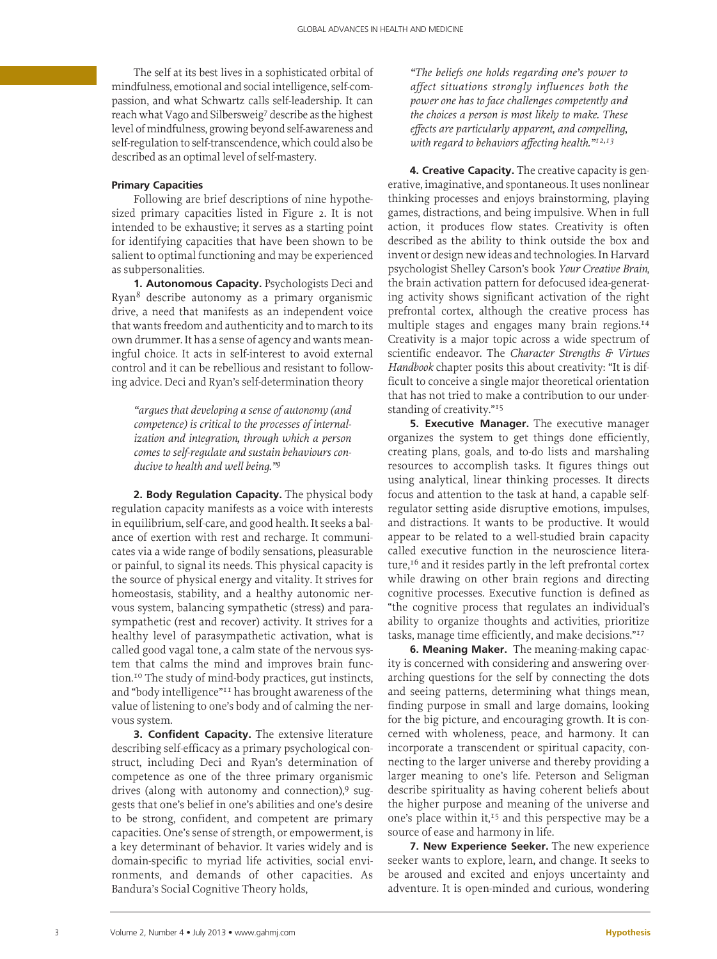The self at its best lives in a sophisticated orbital of mindfulness, emotional and social intelligence, self-compassion, and what Schwartz calls self-leadership. It can reach what Vago and Silbersweig7 describe as the highest level of mindfulness, growing beyond self-awareness and self-regulation to self-transcendence, which could also be described as an optimal level of self-mastery.

# **Primary Capacities**

Following are brief descriptions of nine hypothesized primary capacities listed in Figure 2. It is not intended to be exhaustive; it serves as a starting point for identifying capacities that have been shown to be salient to optimal functioning and may be experienced as subpersonalities.

**1. Autonomous Capacity.** Psychologists Deci and Ryan8 describe autonomy as a primary organismic drive, a need that manifests as an independent voice that wants freedom and authenticity and to march to its own drummer. It has a sense of agency and wants meaningful choice. It acts in self-interest to avoid external control and it can be rebellious and resistant to following advice. Deci and Ryan's self-determination theory

*"argues that developing a sense of autonomy (and competence) is critical to the processes of internalization and integration, through which a person comes to self-regulate and sustain behaviours conducive to health and well being."9*

**2. Body Regulation Capacity.** The physical body regulation capacity manifests as a voice with interests in equilibrium, self-care, and good health. It seeks a balance of exertion with rest and recharge. It communicates via a wide range of bodily sensations, pleasurable or painful, to signal its needs. This physical capacity is the source of physical energy and vitality. It strives for homeostasis, stability, and a healthy autonomic nervous system, balancing sympathetic (stress) and parasympathetic (rest and recover) activity. It strives for a healthy level of parasympathetic activation, what is called good vagal tone, a calm state of the nervous system that calms the mind and improves brain function.10 The study of mind-body practices, gut instincts, and "body intelligence"11 has brought awareness of the value of listening to one's body and of calming the nervous system.

**3. Confident Capacity.** The extensive literature describing self-efficacy as a primary psychological construct, including Deci and Ryan's determination of competence as one of the three primary organismic drives (along with autonomy and connection), $9 \text{ sug-}$ gests that one's belief in one's abilities and one's desire to be strong, confident, and competent are primary capacities. One's sense of strength, or empowerment, is a key determinant of behavior. It varies widely and is domain-specific to myriad life activities, social environments, and demands of other capacities. As Bandura's Social Cognitive Theory holds,

*"The beliefs one holds regarding one's power to affect situations strongly influences both the power one has to face challenges competently and the choices a person is most likely to make. These effects are particularly apparent, and compelling, with regard to behaviors affecting health."12,13*

**4. Creative Capacity.** The creative capacity is generative, imaginative, and spontaneous. It uses nonlinear thinking processes and enjoys brainstorming, playing games, distractions, and being impulsive. When in full action, it produces flow states. Creativity is often described as the ability to think outside the box and invent or design new ideas and technologies. In Harvard psychologist Shelley Carson's book *Your Creative Brain*, the brain activation pattern for defocused idea-generating activity shows significant activation of the right prefrontal cortex, although the creative process has multiple stages and engages many brain regions.14 Creativity is a major topic across a wide spectrum of scientific endeavor. The *Character Strengths & Virtues Handbook* chapter posits this about creativity: "It is difficult to conceive a single major theoretical orientation that has not tried to make a contribution to our understanding of creativity."<sup>15</sup>

**5. Executive Manager.** The executive manager organizes the system to get things done efficiently, creating plans, goals, and to-do lists and marshaling resources to accomplish tasks. It figures things out using analytical, linear thinking processes. It directs focus and attention to the task at hand, a capable selfregulator setting aside disruptive emotions, impulses, and distractions. It wants to be productive. It would appear to be related to a well-studied brain capacity called executive function in the neuroscience literature, $16$  and it resides partly in the left prefrontal cortex while drawing on other brain regions and directing cognitive processes. Executive function is defined as "the cognitive process that regulates an individual's ability to organize thoughts and activities, prioritize tasks, manage time efficiently, and make decisions."17

**6. Meaning Maker.** The meaning-making capacity is concerned with considering and answering overarching questions for the self by connecting the dots and seeing patterns, determining what things mean, finding purpose in small and large domains, looking for the big picture, and encouraging growth. It is concerned with wholeness, peace, and harmony. It can incorporate a transcendent or spiritual capacity, connecting to the larger universe and thereby providing a larger meaning to one's life. Peterson and Seligman describe spirituality as having coherent beliefs about the higher purpose and meaning of the universe and one's place within it,<sup>15</sup> and this perspective may be a source of ease and harmony in life.

**7. New Experience Seeker.** The new experience seeker wants to explore, learn, and change. It seeks to be aroused and excited and enjoys uncertainty and adventure. It is open-minded and curious, wondering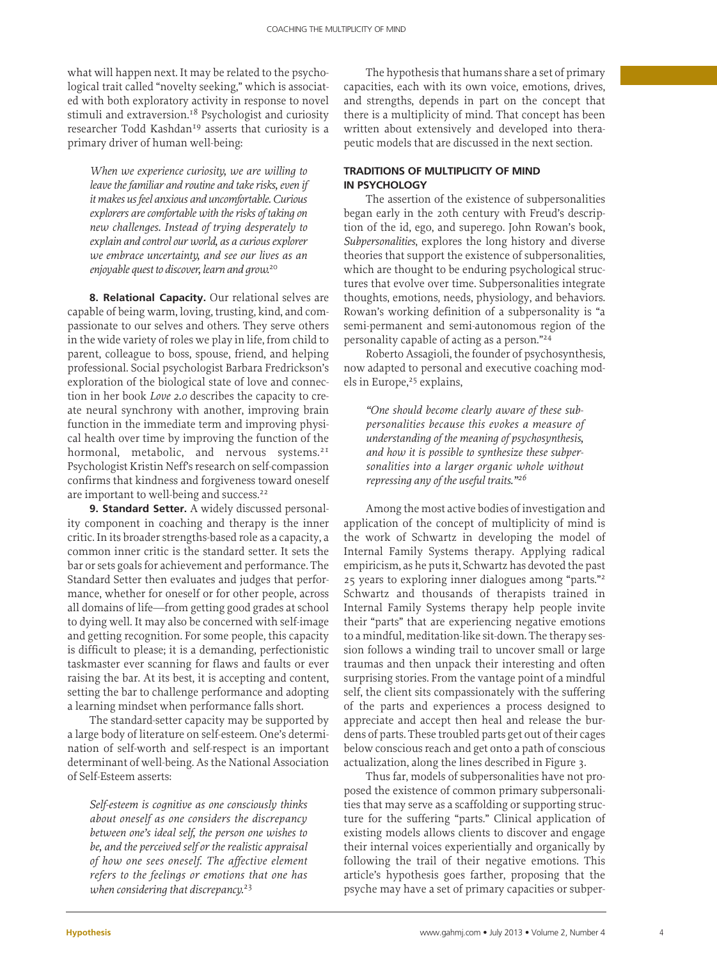what will happen next. It may be related to the psychological trait called "novelty seeking," which is associated with both exploratory activity in response to novel stimuli and extraversion.<sup>18</sup> Psychologist and curiosity researcher Todd Kashdan<sup>19</sup> asserts that curiosity is a primary driver of human well-being:

*When we experience curiosity, we are willing to leave the familiar and routine and take risks, even if it makes us feel anxious and uncomfortable. Curious explorers are comfortable with the risks of taking on new challenges. Instead of trying desperately to explain and control our world, as a curious explorer we embrace uncertainty, and see our lives as an enjoyable quest to discover, learn and grow.*<sup>20</sup>

**8. Relational Capacity.** Our relational selves are capable of being warm, loving, trusting, kind, and compassionate to our selves and others. They serve others in the wide variety of roles we play in life, from child to parent, colleague to boss, spouse, friend, and helping professional. Social psychologist Barbara Fredrickson's exploration of the biological state of love and connection in her book *Love 2.0* describes the capacity to create neural synchrony with another, improving brain function in the immediate term and improving physical health over time by improving the function of the hormonal, metabolic, and nervous systems.<sup>21</sup> Psychologist Kristin Neff's research on self-compassion confirms that kindness and forgiveness toward oneself are important to well-being and success.<sup>22</sup>

**9. Standard Setter.** A widely discussed personality component in coaching and therapy is the inner critic. In its broader strengths-based role as a capacity, a common inner critic is the standard setter. It sets the bar or sets goals for achievement and performance. The Standard Setter then evaluates and judges that performance, whether for oneself or for other people, across all domains of life—from getting good grades at school to dying well. It may also be concerned with self-image and getting recognition. For some people, this capacity is difficult to please; it is a demanding, perfectionistic taskmaster ever scanning for flaws and faults or ever raising the bar. At its best, it is accepting and content, setting the bar to challenge performance and adopting a learning mindset when performance falls short.

The standard-setter capacity may be supported by a large body of literature on self-esteem. One's determination of self-worth and self-respect is an important determinant of well-being. As the National Association of Self-Esteem asserts:

*Self-esteem is cognitive as one consciously thinks about oneself as one considers the discrepancy between one's ideal self, the person one wishes to be, and the perceived self or the realistic appraisal of how one sees oneself. The affective element refers to the feelings or emotions that one has when considering that discrepancy.*<sup>23</sup>

The hypothesis that humans share a set of primary capacities, each with its own voice, emotions, drives, and strengths, depends in part on the concept that there is a multiplicity of mind. That concept has been written about extensively and developed into therapeutic models that are discussed in the next section.

# **Traditions of Multiplicity of Mind in Psychology**

The assertion of the existence of subpersonalities began early in the 20th century with Freud's description of the id, ego, and superego. John Rowan's book, *Subpersonalities*, explores the long history and diverse theories that support the existence of subpersonalities, which are thought to be enduring psychological structures that evolve over time. Subpersonalities integrate thoughts, emotions, needs, physiology, and behaviors. Rowan's working definition of a subpersonality is "a semi-permanent and semi-autonomous region of the personality capable of acting as a person."24

Roberto Assagioli, the founder of psychosynthesis, now adapted to personal and executive coaching models in Europe,<sup>25</sup> explains,

*"One should become clearly aware of these subpersonalities because this evokes a measure of understanding of the meaning of psychosynthesis, and how it is possible to synthesize these subpersonalities into a larger organic whole without repressing any of the useful traits."<sup>26</sup>*

Among the most active bodies of investigation and application of the concept of multiplicity of mind is the work of Schwartz in developing the model of Internal Family Systems therapy. Applying radical empiricism, as he puts it, Schwartz has devoted the past 25 years to exploring inner dialogues among "parts."2 Schwartz and thousands of therapists trained in Internal Family Systems therapy help people invite their "parts" that are experiencing negative emotions to a mindful, meditation-like sit-down. The therapy session follows a winding trail to uncover small or large traumas and then unpack their interesting and often surprising stories. From the vantage point of a mindful self, the client sits compassionately with the suffering of the parts and experiences a process designed to appreciate and accept then heal and release the burdens of parts. These troubled parts get out of their cages below conscious reach and get onto a path of conscious actualization, along the lines described in Figure 3.

Thus far, models of subpersonalities have not proposed the existence of common primary subpersonalities that may serve as a scaffolding or supporting structure for the suffering "parts." Clinical application of existing models allows clients to discover and engage their internal voices experientially and organically by following the trail of their negative emotions. This article's hypothesis goes farther, proposing that the psyche may have a set of primary capacities or subper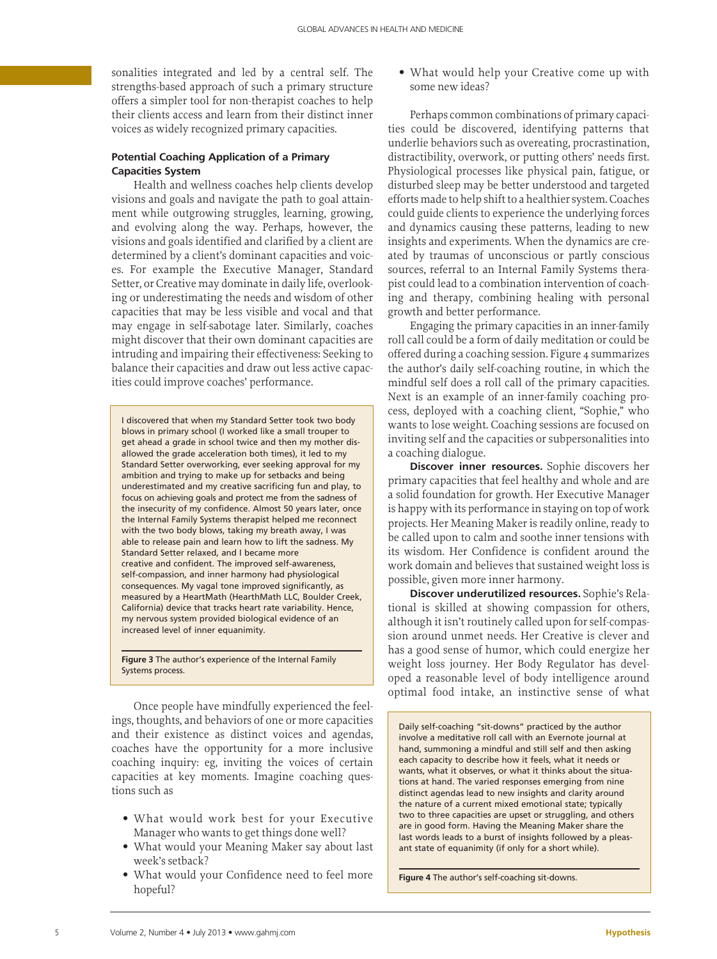sonalities integrated and led by a central self. The strengths-based approach of such a primary structure offers a simpler tool for non-therapist coaches to help their clients access and learn from their distinct inner voices as widely recognized primary capacities.

# **Potential Coaching Application of a Primary Capacities System**

Health and wellness coaches help clients develop visions and goals and navigate the path to goal attainment while outgrowing struggles, learning, growing, and evolving along the way. Perhaps, however, the visions and goals identified and clarified by a client are determined by a client's dominant capacities and voices. For example the Executive Manager, Standard Setter, or Creative may dominate in daily life, overlooking or underestimating the needs and wisdom of other capacities that may be less visible and vocal and that may engage in self-sabotage later. Similarly, coaches might discover that their own dominant capacities are intruding and impairing their effectiveness: Seeking to balance their capacities and draw out less active capacities could improve coaches' performance.

I discovered that when my Standard Setter took two body blows in primary school (I worked like a small trouper to get ahead a grade in school twice and then my mother disallowed the grade acceleration both times), it led to my Standard Setter overworking, ever seeking approval for my ambition and trying to make up for setbacks and being underestimated and my creative sacrificing fun and play, to focus on achieving goals and protect me from the sadness of the insecurity of my confidence. Almost 50 years later, once the Internal Family Systems therapist helped me reconnect with the two body blows, taking my breath away, I was able to release pain and learn how to lift the sadness. My Standard Setter relaxed, and I became more creative and confident. The improved self-awareness, self-compassion, and inner harmony had physiological consequences. My vagal tone improved significantly, as measured by a HeartMath (HearthMath LLC, Boulder Creek, California) device that tracks heart rate variability. Hence, my nervous system provided biological evidence of an increased level of inner equanimity.

**Figure 3** The author's experience of the Internal Family Systems process.

Once people have mindfully experienced the feelings, thoughts, and behaviors of one or more capacities and their existence as distinct voices and agendas, coaches have the opportunity for a more inclusive coaching inquiry: eg, inviting the voices of certain capacities at key moments. Imagine coaching questions such as

- What would work best for your Executive Manager who wants to get things done well?
- What would your Meaning Maker say about last week's setback?
- What would your Confidence need to feel more hopeful?

• What would help your Creative come up with some new ideas?

Perhaps common combinations of primary capacities could be discovered, identifying patterns that underlie behaviors such as overeating, procrastination, distractibility, overwork, or putting others' needs first. Physiological processes like physical pain, fatigue, or disturbed sleep may be better understood and targeted efforts made to help shift to a healthier system. Coaches could guide clients to experience the underlying forces and dynamics causing these patterns, leading to new insights and experiments. When the dynamics are created by traumas of unconscious or partly conscious sources, referral to an Internal Family Systems therapist could lead to a combination intervention of coaching and therapy, combining healing with personal growth and better performance.

Engaging the primary capacities in an inner-family roll call could be a form of daily meditation or could be offered during a coaching session. Figure 4 summarizes the author's daily self-coaching routine, in which the mindful self does a roll call of the primary capacities. Next is an example of an inner-family coaching process, deployed with a coaching client, "Sophie," who wants to lose weight. Coaching sessions are focused on inviting self and the capacities or subpersonalities into a coaching dialogue.

**Discover inner resources.** Sophie discovers her primary capacities that feel healthy and whole and are a solid foundation for growth. Her Executive Manager is happy with its performance in staying on top of work projects. Her Meaning Maker is readily online, ready to be called upon to calm and soothe inner tensions with its wisdom. Her Confidence is confident around the work domain and believes that sustained weight loss is possible, given more inner harmony.

**Discover underutilized resources.** Sophie's Relational is skilled at showing compassion for others, although it isn't routinely called upon for self-compassion around unmet needs. Her Creative is clever and has a good sense of humor, which could energize her weight loss journey. Her Body Regulator has developed a reasonable level of body intelligence around optimal food intake, an instinctive sense of what

Daily self-coaching "sit-downs" practiced by the author involve a meditative roll call with an Evernote journal at hand, summoning a mindful and still self and then asking each capacity to describe how it feels, what it needs or wants, what it observes, or what it thinks about the situations at hand. The varied responses emerging from nine distinct agendas lead to new insights and clarity around the nature of a current mixed emotional state; typically two to three capacities are upset or struggling, and others are in good form. Having the Meaning Maker share the last words leads to a burst of insights followed by a pleasant state of equanimity (if only for a short while).

**Figure 4** The author's self-coaching sit-downs.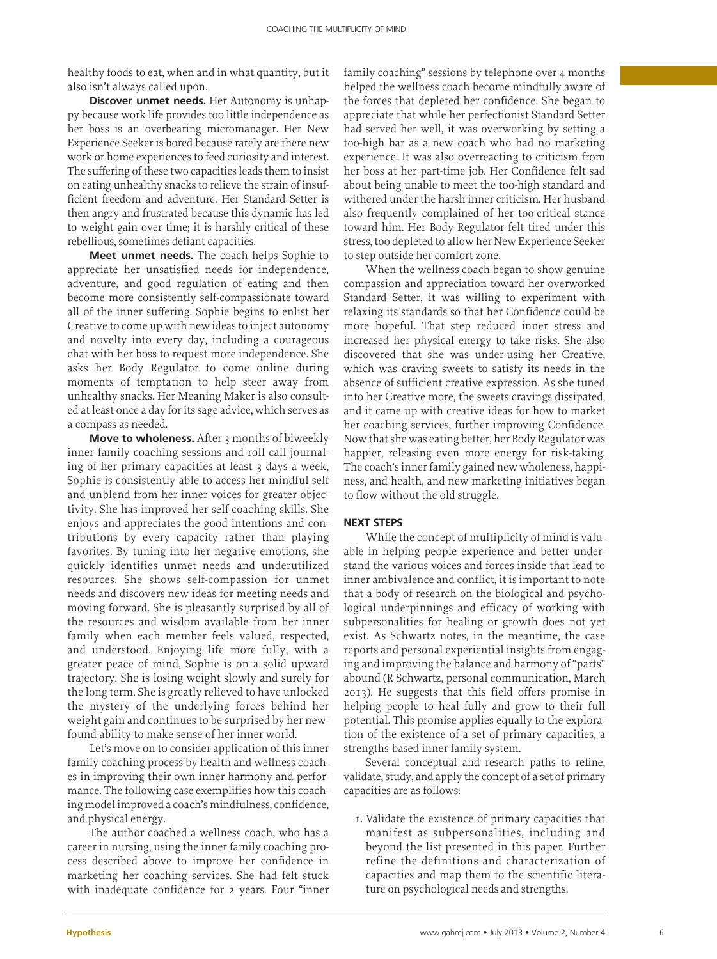healthy foods to eat, when and in what quantity, but it also isn't always called upon.

**Discover unmet needs.** Her Autonomy is unhappy because work life provides too little independence as her boss is an overbearing micromanager. Her New Experience Seeker is bored because rarely are there new work or home experiences to feed curiosity and interest. The suffering of these two capacities leads them to insist on eating unhealthy snacks to relieve the strain of insufficient freedom and adventure. Her Standard Setter is then angry and frustrated because this dynamic has led to weight gain over time; it is harshly critical of these rebellious, sometimes defiant capacities.

**Meet unmet needs.** The coach helps Sophie to appreciate her unsatisfied needs for independence, adventure, and good regulation of eating and then become more consistently self-compassionate toward all of the inner suffering. Sophie begins to enlist her Creative to come up with new ideas to inject autonomy and novelty into every day, including a courageous chat with her boss to request more independence. She asks her Body Regulator to come online during moments of temptation to help steer away from unhealthy snacks. Her Meaning Maker is also consulted at least once a day for its sage advice, which serves as a compass as needed.

**Move to wholeness.** After 3 months of biweekly inner family coaching sessions and roll call journaling of her primary capacities at least 3 days a week, Sophie is consistently able to access her mindful self and unblend from her inner voices for greater objectivity. She has improved her self-coaching skills. She enjoys and appreciates the good intentions and contributions by every capacity rather than playing favorites. By tuning into her negative emotions, she quickly identifies unmet needs and underutilized resources. She shows self-compassion for unmet needs and discovers new ideas for meeting needs and moving forward. She is pleasantly surprised by all of the resources and wisdom available from her inner family when each member feels valued, respected, and understood. Enjoying life more fully, with a greater peace of mind, Sophie is on a solid upward trajectory. She is losing weight slowly and surely for the long term. She is greatly relieved to have unlocked the mystery of the underlying forces behind her weight gain and continues to be surprised by her newfound ability to make sense of her inner world.

Let's move on to consider application of this inner family coaching process by health and wellness coaches in improving their own inner harmony and performance. The following case exemplifies how this coaching model improved a coach's mindfulness, confidence, and physical energy.

The author coached a wellness coach, who has a career in nursing, using the inner family coaching process described above to improve her confidence in marketing her coaching services. She had felt stuck with inadequate confidence for 2 years. Four "inner family coaching" sessions by telephone over 4 months helped the wellness coach become mindfully aware of the forces that depleted her confidence. She began to appreciate that while her perfectionist Standard Setter had served her well, it was overworking by setting a too-high bar as a new coach who had no marketing experience. It was also overreacting to criticism from her boss at her part-time job. Her Confidence felt sad about being unable to meet the too-high standard and withered under the harsh inner criticism. Her husband also frequently complained of her too-critical stance toward him. Her Body Regulator felt tired under this stress, too depleted to allow her New Experience Seeker to step outside her comfort zone.

When the wellness coach began to show genuine compassion and appreciation toward her overworked Standard Setter, it was willing to experiment with relaxing its standards so that her Confidence could be more hopeful. That step reduced inner stress and increased her physical energy to take risks. She also discovered that she was under-using her Creative, which was craving sweets to satisfy its needs in the absence of sufficient creative expression. As she tuned into her Creative more, the sweets cravings dissipated, and it came up with creative ideas for how to market her coaching services, further improving Confidence. Now that she was eating better, her Body Regulator was happier, releasing even more energy for risk-taking. The coach's inner family gained new wholeness, happiness, and health, and new marketing initiatives began to flow without the old struggle.

# **Next Steps**

While the concept of multiplicity of mind is valuable in helping people experience and better understand the various voices and forces inside that lead to inner ambivalence and conflict, it is important to note that a body of research on the biological and psychological underpinnings and efficacy of working with subpersonalities for healing or growth does not yet exist. As Schwartz notes, in the meantime, the case reports and personal experiential insights from engaging and improving the balance and harmony of "parts" abound (R Schwartz, personal communication, March 2013). He suggests that this field offers promise in helping people to heal fully and grow to their full potential. This promise applies equally to the exploration of the existence of a set of primary capacities, a strengths-based inner family system.

Several conceptual and research paths to refine, validate, study, and apply the concept of a set of primary capacities are as follows:

1. Validate the existence of primary capacities that manifest as subpersonalities, including and beyond the list presented in this paper. Further refine the definitions and characterization of capacities and map them to the scientific literature on psychological needs and strengths.